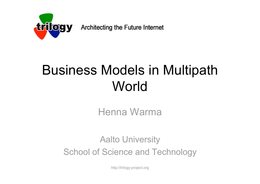

Architecting the Future Internet

## Business Models in Multipath World

Henna Warma

Aalto University School of Science and Technology

http://trilogy-project.org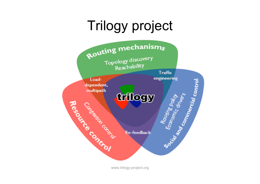## Trilogy project



www.trilogy-project.org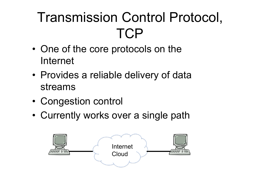# Transmission Control Protocol, **TCP**

- One of the core protocols on the Internet
- Provides a reliable delivery of data streams
- Congestion control
- Currently works over a single path

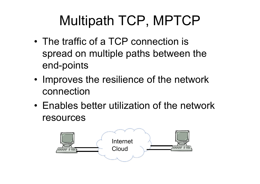# Multipath TCP, MPTCP

- The traffic of a TCP connection is spread on multiple paths between the end-points
- Improves the resilience of the network connection
- Enables better utilization of the network resources

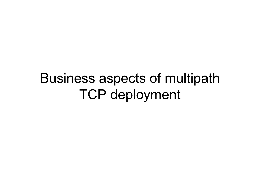### Business aspects of multipath TCP deployment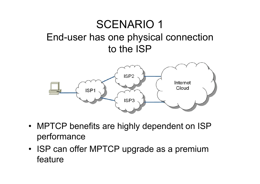### SCENARIO 1 End-user has one physical connection to the ISP



- MPTCP benefits are highly dependent on ISP performance
- ISP can offer MPTCP upgrade as a premium feature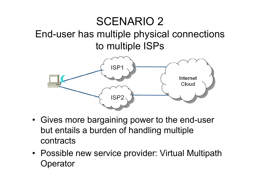### SCENARIO 2

#### End-user has multiple physical connections to multiple ISPs



- Gives more bargaining power to the end-user but entails a burden of handling multiple contracts
- Possible new service provider: Virtual Multipath **Operator**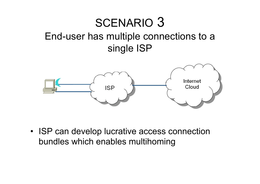### SCENARIO 3 End-user has multiple connections to a single ISP



• ISP can develop lucrative access connection bundles which enables multihoming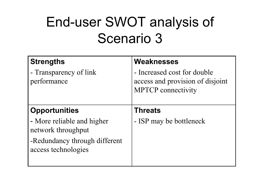## End-user SWOT analysis of Scenario 3

| <b>Strengths</b>                                     | <b>Weaknesses</b>                                                                            |
|------------------------------------------------------|----------------------------------------------------------------------------------------------|
| - Transparency of link<br>performance                | - Increased cost for double<br>access and provision of disjoint<br><b>MPTCP</b> connectivity |
| <b>Opportunities</b>                                 | <b>Threats</b>                                                                               |
| - More reliable and higher<br>network throughput     | - ISP may be bottleneck                                                                      |
| -Redundancy through different<br>access technologies |                                                                                              |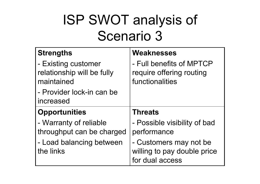# ISP SWOT analysis of Scenario 3

| <b>Strengths</b>                                                | <b>Weaknesses</b>                                                       |
|-----------------------------------------------------------------|-------------------------------------------------------------------------|
| - Existing customer<br>relationship will be fully<br>maintained | - Full benefits of MPTCP<br>require offering routing<br>functionalities |
| - Provider lock-in can be<br>increased                          |                                                                         |
| <b>Opportunities</b>                                            | <b>Threats</b>                                                          |
| - Warranty of reliable<br>throughput can be charged             | - Possible visibility of bad<br>performance                             |
| - Load balancing between                                        |                                                                         |
| the links                                                       | - Customers may not be<br>willing to pay double price                   |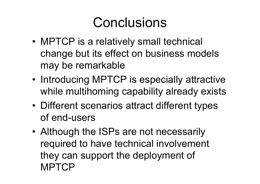### **Conclusions**

- MPTCP is a relatively small technical change but its effect on business models may be remarkable
- Introducing MPTCP is especially attractive while multihoming capability already exists
- Different scenarios attract different types of end-users
- Although the ISPs are not necessarily required to have technical involvement they can support the deployment of MPTCP